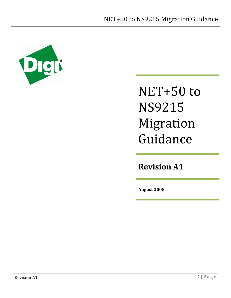

# NET+50 to NS9215 Migration Guidance

**Revision A1**

**August 2008**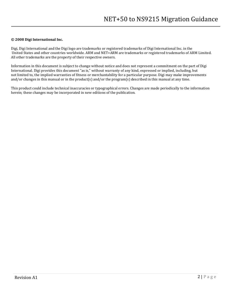#### **© 2008 Digi International Inc.**

Digi, Digi International and the Digi logo are trademarks or registered trademarks of Digi International Inc. in the United States and other countries worldwide. ARM and NET+ARM are trademarks or registered trademarks of ARM Limited. All other trademarks are the property of their respective owners.

Information in this document is subject to change without notice and does not represent a commitment on the part of Digi International. Digi provides this document "as is," without warranty of any kind, expressed or implied, including, but not limited to, the implied warranties of fitness or merchantability for a particular purpose. Digi may make improvements and/or changes in this manual or in the product(s) and/or the program(s) described in this manual at any time.

This product could include technical inaccuracies or typographical errors. Changes are made periodically to the information herein; these changes may be incorporated in new editions of the publication.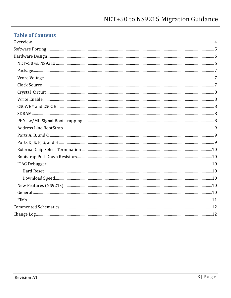## **Table of Contents**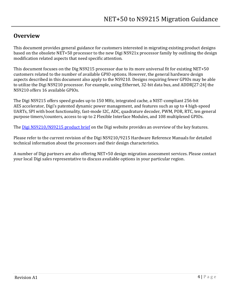## <span id="page-3-0"></span>**Overview**

This document provides general guidance for customers interested in migrating existing product designs based on the obsolete NET+50 processor to the new Digi NS921x processor family by outlining the design modification related aspects that need specific attention.

This document focuses on the Dig NS9215 processor due to its more universal fit for existing NET+50 customers related to the number of available GPIO options. However, the general hardware design aspects described in this document also apply to the NS9210. Designs requiring fewer GPIOs may be able to utilize the Digi NS9210 processor. For example, using Ethernet, 32-bit data bus, and ADDR[27:24] the NS9210 offers 16 available GPIOs.

The Digi NS9215 offers speed grades up to 150 MHz, integrated cache, a NIST-compliant 256-bit AES accelerator, Digi's patented dynamic power management, and features such as up to 4 high-speed UARTs, SPI with boot functionality, fast-mode I2C, ADC, quadrature decoder, PWM, POR, RTC, ten general purpose timers/counters, access to up to 2 Flexible Interface Modules, and 108 multiplexed GPIOs.

The [Digi NS9210/NS9215 product brief](http://www.digi.com/pdf/pb_ns9210_9215.pdf) on the Digi website provides an overview of the key features.

Please refer to the current revision of the Digi NS9210/9215 Hardware Reference Manuals for detailed technical information about the processors and their design characteristics.

A number of Digi partners are also offering NET+50 design migration assessment services. Please contact your local Digi sales representative to discuss available options in your particular region.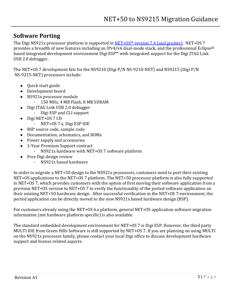## <span id="page-4-0"></span>**Software Porting**

The Digi NS921x processor platform is supported in NET+OS<sup>®</sup> [version 7.4 \(and greater\).](http://www.digi.com/pdf/fs_netos7.pdf) NET+OS 7 provides a breadth of new features including an IPv4/v6 dual-mode stack, and the professional Eclipse® based integrated development environment Digi ESP™ with integrated support for the Digi JTAG Link USB 2.0 debugger.

The NET+OS 7 development kits for the NS9210 (Digi P/N NS-9210-NET) and NS9215 (Digi P/N NS-9215-NET) processors include:

- Quick start guide
- Development board
- NS921x processor module
	- 150 MHz, 4 MB Flash, 8 MB SDRAM
- Digi JTAG Link USB 2.0 debugger  $\bullet$ 
	- Digi ESP and CLI support
- Digi NET+OS 7 CD  $\bullet$ 
	- NET+OS 7.x, Digi ESP IDE
- BSP source code, sample code  $\bullet$
- Documentation, schematics, and BOMs
- Power supply and accessories
- 1-Year Premium Support contract
	- NS921x hardware with NET+OS 7 software platform
- Free Digi design review
	- NS921x based hardware

In order to migrate a NET+50 design to the NS921x processors, customers need to port their existing NET+OS applications to the NET+OS 7 platform. The NET+50 processor platform is also fully supported in NET+OS 7, which provides customers with the option of first moving their software application from a previous NET+OS version to NET+OS 7 to verify the functionality of the ported software application on their existing NET+50 hardware design. After successful verification in the NET+OS 7 environment, the ported application can be directly moved to the new NS921x based hardware design (BSP).

For customers already using the NET+OS 6.x platform, general NET+OS application software migration information (not hardware platform specific) is also available.

The standard embedded development environment for NET+OS 7 is Digi ESP. However, the third party MULTI IDE from Green Hills Software is still supported by NET+OS 7. If you are planning on using MULTI on the NS921x processor family, please contact your local Digi office to discuss development hardware support and license related aspects.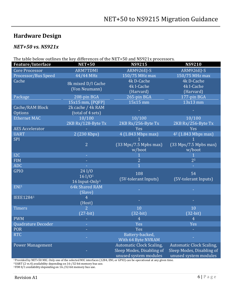## <span id="page-5-0"></span>**Hardware Design**

## <span id="page-5-1"></span>*NET+50 vs. NS921x*

The table below outlines the key differences of the NET+50 and NS921x processors.

| Feature/Interface       | <b>NET+50</b>                       | <b>NS9215</b>                   | <b>NS9210</b>                   |
|-------------------------|-------------------------------------|---------------------------------|---------------------------------|
| <b>Core Processor</b>   | <b>ARM7TDMI</b>                     | ARM926EJ-S                      | ARM926EJ-S                      |
| Processor/Bus Speed     | 44/44 MHz                           | 150/75 MHz max                  | 150/75 MHz max                  |
| Cache                   |                                     | 4k D-Cache                      | 4k D-Cache                      |
|                         | 8k mixed D/I Cache<br>(Von Neumann) | 4k I-Cache                      | 4k I-Cache                      |
|                         |                                     | (Harvard)                       | (Harvard)                       |
| Package                 | 208-pin BGA                         | 265-pin BGA                     | 177-pin BGA                     |
|                         | 15x15 mm, [PQFP]                    | 15x15 mm                        | 13x13 mm                        |
| Cache/RAM Block         | 2k cache / 4k RAM                   |                                 |                                 |
| Options                 | (total of 4 sets)                   |                                 |                                 |
| <b>Ethernet MAC</b>     | 10/100                              | 10/100                          | 10/100                          |
|                         | 2KB Rx/128-Byte Tx                  | 2KB Rx/256-Byte Tx              | 2KB Rx/256-Byte Tx              |
| <b>AES Accelerator</b>  |                                     | Yes                             | Yes                             |
| <b>UART</b>             | 2 (230 Kbps)                        | 4 (1.843 Mbps max)              | 4 <sup>2</sup> (1.843 Mbps max) |
| <b>SPI</b>              |                                     |                                 |                                 |
|                         | $\overline{2}$                      | $(33$ Mps/7.5 Mpbs max)         | $(33$ Mps/7.5 Mpbs max)         |
|                         |                                     | w/boot                          | w/boot                          |
| I2C                     | $\sim$                              |                                 |                                 |
| <b>FIM</b>              | ÷,                                  | $\overline{2}$                  | 2 <sup>3</sup>                  |
| <b>ADC</b>              |                                     | $\overline{1}$                  |                                 |
| <b>GPIO</b>             | 24 <sub>1</sub> /0                  | 108                             | 54                              |
|                         | 161/01                              | (5V-tolerant Inputs)            | (5V-tolerant Inputs)            |
|                         | 16 Input-Only <sup>1</sup>          |                                 |                                 |
| ENI <sup>1</sup>        | 64k Shared RAM                      |                                 |                                 |
|                         | (Slave)                             |                                 |                                 |
| <b>IEEE12841</b>        | $\overline{4}$                      |                                 |                                 |
|                         | (Host)                              |                                 |                                 |
| <b>Timers</b>           | $\overline{2}$                      | 10                              | 10                              |
|                         | $(27-bit)$                          | $(32-bit)$                      | $(32-bit)$                      |
| <b>PWM</b>              |                                     | $\overline{4}$                  | $\overline{4}$                  |
| Quadrature Decoder      | ÷                                   | Yes                             | Yes                             |
| <b>POR</b>              | $\bar{\phantom{a}}$                 | Yes                             |                                 |
| <b>RTC</b>              |                                     | Battery-backed,                 |                                 |
|                         |                                     | With 64 Byte NVRAM              |                                 |
| <b>Power Management</b> |                                     | <b>Automatic Clock Scaling,</b> | <b>Automatic Clock Scaling,</b> |
|                         |                                     | Sleep Modes, Disabling of       | Sleep Modes, Disabling of       |
|                         |                                     | unused system modules           | unused system modules           |

<sup>1</sup>Provided by NET+50 MIC. Only one of the selected MIC interfaces (1284, ENI, or GPIO) can be operational at any given time.

<sup>2</sup>UART (2 vs.4) availability depending on 16-/32-bit memory bus use.

<sup>3</sup> FIM 0/1 availability depending on 16-/32-bit memory bus use.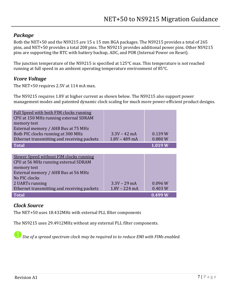#### *Package*

<span id="page-6-0"></span>Both the NET+50 and the NS9215 are 15 x 15 mm BGA packages. The NS9215 provides a total of 265 pins, and NET+50 provides a total 208 pins. The NS9215 provides additional power pins. Other NS9215 pins are supporting the RTC with battery backup, ADC, and POR (Internal Power on Reset).

The junction temperature of the NS9215 is specified at 125°C max. This temperature is not reached running at full speed in an ambient operating temperature environment of 85°C.

#### <span id="page-6-1"></span>*Vcore Voltage*

The NET+50 requires 2.5V at 114 mA max.

The NS9215 requires 1.8V at higher current as shown below. The NS9215 also support power management modes and patented dynamic clock scaling for much more power-efficient product designs.

| Full Speed with both FIM clocks running<br>CPU at 150 MHz running external SDRAM<br>memory test<br>External memory / AHB Bus at 75 MHz<br>Both PIC clocks running at 300 MHz<br>Ethernet transmitting and receiving packets | $3.3V - 42$ mA<br>$1.8V - 489$ mA | 0.139 W<br>0.880 W |
|-----------------------------------------------------------------------------------------------------------------------------------------------------------------------------------------------------------------------------|-----------------------------------|--------------------|
| <b>Total</b>                                                                                                                                                                                                                |                                   | 1.019W             |
|                                                                                                                                                                                                                             |                                   |                    |
| Slower Speed without FIM clocks running<br>CPU at 56 MHz running external SDRAM<br>memory test                                                                                                                              |                                   |                    |
| External memory / AHB Bus at 56 MHz                                                                                                                                                                                         |                                   |                    |
| No PIC clocks                                                                                                                                                                                                               |                                   |                    |
| 2 UARTs running                                                                                                                                                                                                             | $3.3V - 29$ mA                    | 0.096 W            |
| Ethernet transmitting and receiving packets                                                                                                                                                                                 | $1.8V - 224$ mA                   | 0.403 W            |

#### *Clock Source*

The NET+50 uses 18.432MHz with external PLL filter components

The NS9215 uses 29.4912MHz without any external PLL filter components.

<span id="page-6-2"></span>**Total 0.499 W**

*Use of a spread spectrum clock may be required to to reduce EMI with FIMs enabled.*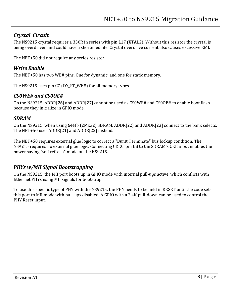#### *Crystal Circuit*

<span id="page-7-0"></span>The NS9215 crystal requires a 330R in series with pin L17 (XTAL2). Without this resistor the crystal is being overdriven and could have a shortened life. Crystal overdrive current also causes excessive EMI.

<span id="page-7-1"></span>The NET+50 did not require any series resistor.

#### *Write Enable*

The NET+50 has two WE# pins. One for dynamic, and one for static memory.

The NS9215 uses pin C7 (DY\_ST\_WE#) for all memory types.

#### <span id="page-7-2"></span>*CS0WE# and CS0OE#*

On the NS9215, ADDR[26] and ADDR[27] cannot be used as CS0WE# and CS0OE# to enable boot flash because they initialize in GPIO mode.

#### <span id="page-7-3"></span>*SDRAM*

On the NS9215, when using 64Mb (2Mx32) SDRAM, ADDR[22] and ADDR[23] connect to the bank selects. The NET+50 uses ADDR[21] and ADDR[22] instead.

The NET+50 requires external glue logic to correct a "Burst Terminate" bus lockup condition. The NS9215 requires no external glue logic. Connecting CKE0, pin B8 to the SDRAM's CKE input enables the power saving "self refresh" mode on the NS9215.

#### <span id="page-7-4"></span>*PHYs w/MII Signal Bootstrapping*

On the NS9215, the MII port boots up in GPIO mode with internal pull-ups active, which conflicts with Ethernet PHYs using MII signals for bootstrap.

To use this specific type of PHY with the NS9215, the PHY needs to be held in RESET until the code sets this port to MII mode with pull-ups disabled. A GPIO with a 2.4K pull-down can be used to control the PHY Reset input.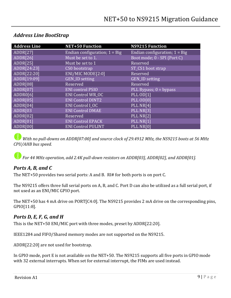| <b>Address Line</b> | <b>NET+50 Function</b>          | <b>NS9215 Function</b>          |
|---------------------|---------------------------------|---------------------------------|
| ADDR[27]            | Endian configuration; $1 = Big$ | Endian configuration; $1 = Big$ |
| ADDR[26]            | Must be set to 1.               | Boot mode; 0 - SPI (Port C)     |
| ADDR[25]            | Must be set to 1                | Reserved                        |
| ADDR[24:23]         | CS0 bootstrap                   | ST_CS1 boot strap               |
| ADDR[22:20]         | ENI/MIC MODE[2:0]               | Reserved                        |
| ADDR[19:09]         | <b>GEN_ID setting</b>           | <b>GEN_ID setting</b>           |
| ADDR[08]            | Reserved                        | Reserved                        |
| ADDR[07]            | <b>ENI</b> control PSIO         | PLL Bypass; $0 =$ bypass        |
| ADDR0[6]            | <b>ENI Control WR OC</b>        | <b>PLL OD[1]</b>                |
| ADDR[05]            | <b>ENI Control DINT2</b>        | PLL OD[0]                       |
| ADDR[04]            | <b>ENI Control I OC</b>         | PLL NR[4]                       |
| ADDR[03             | <b>ENI Control DMAE</b>         | PLL NR[3]                       |
| ADDR[02]            | Reserved                        | PLL NR[2]                       |
| ADDR[01]            | <b>ENI Control EPACK</b>        | PLL NR[1]                       |
| ADDR[00]            | <b>ENI Control PULINT</b>       | PLL NR[0]                       |

#### <span id="page-8-0"></span>*Address Line BootStrap*

*With no pull-downs on ADDR[07:00] and source clock of 29.4912 MHz, the NS9215 boots at 56 MHz CPU/AHB bus speed.*

*For 44 MHz operation, add 2.4K pull-down resistors on ADDR[03], ADDR[02], and ADDR[01].*

## <span id="page-8-1"></span>*Ports A, B, and C*

The NET+50 provides two serial ports: A and B. RI# for both ports is on port C.

The NS9215 offers three full serial ports on A, B, and C. Port D can also be utilized as a full serial port, if not used as an ENI/MIC GPIO port.

The NET+50 has 4 mA drive on PORT[C4:0]. The NS9215 provides 2 mA drive on the corresponding pins, GPIO[11:8].

#### <span id="page-8-2"></span>*Ports D, E, F, G, and H*

This is the NET+50 ENI/MIC port with three modes, preset by ADDR[22:20].

IEEE1284 and FIFO/Shared memory modes are not supported on the NS9215.

ADDR[22:20] are not used for bootstrap.

In GPIO mode, port E is not available on the NET+50. The NS9215 supports all five ports in GPIO mode with 32 external interrupts. When set for external interrupt, the FIMs are used instead.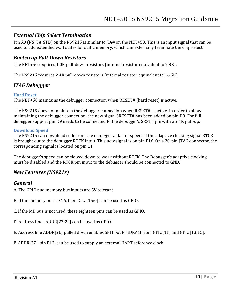#### *External Chip Select Termination*

<span id="page-9-0"></span>Pin A9 (NS\_TA\_STB) on the NS9215 is similar to TA# on the NET+50. This is an input signal that can be used to add extended wait states for static memory, which can externally terminate the chip select.

#### <span id="page-9-1"></span>*Bootstrap Pull-Down Resistors*

The NET+50 requires 1.0K pull-down resistors (internal resistor equivalent to 7.8K).

<span id="page-9-2"></span>The NS9215 requires 2.4K pull-down resistors (internal resistor equivalent to 16.5K).

### *JTAG Debugger*

#### <span id="page-9-3"></span>**Hard Reset**

The NET+50 maintains the debugger connection when RESET# (hard reset) is active.

The NS9215 does not maintain the debugger connection when RESET# is active. In order to allow maintaining the debugger connection, the new signal SRESET# has been added on pin D9. For full debugger support pin D9 needs to be connected to the debugger's SRST# pin with a 2.4K pull-up.

#### <span id="page-9-4"></span>**Download Speed**

The NS9215 can download code from the debugger at faster speeds if the adaptive clocking signal RTCK is brought out to the debugger RTCK input. This new signal is on pin P16. On a 20-pin JTAG connector, the corresponding signal is located on pin 11.

The debugger's speed can be slowed down to work without RTCK. The Debugger's adaptive clocking must be disabled and the RTCK pin input to the debugger should be connected to GND.

#### <span id="page-9-5"></span>*New Features (NS921x)*

#### <span id="page-9-6"></span>*General*

A. The GPIO and memory bus inputs are 5V tolerant

B. If the memory bus is x16, then Data[15:0] can be used as GPIO.

C. If the MII bus is not used, these eighteen pins can be used as GPIO.

D. Address lines ADDR[27:24] can be used as GPIO.

E. Address line ADDR[26] pulled down enables SPI boot to SDRAM from GPIO[11] and GPIO[13:15].

F. ADDR[27], pin P12, can be used to supply an external UART reference clock.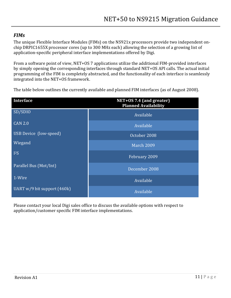#### *FIMs*

<span id="page-10-0"></span>The unique Flexible Interface Modules (FIMs) on the NS921x processors provide two independent onchip DRPIC1655X processor cores (up to 300 MHz each) allowing the selection of a growing list of application-specific peripheral interface implementations offered by Digi.

From a software point of view, NET+OS 7 applications utilize the additional FIM-provided interfaces by simply opening the corresponding interfaces through standard NET+OS API calls. The actual initial programming of the FIM is completely abstracted, and the functionality of each interface is seamlessly integrated into the NET+OS framework.

The table below outlines the currently available and planned FIM interfaces (as of August 2008).

| <b>Interface</b>              | NET+0S 7.4 (and greater)<br><b>Planned Availability</b> |
|-------------------------------|---------------------------------------------------------|
| SD/SDIO                       | Available                                               |
| <b>CAN 2.0</b>                | Available                                               |
| USB Device (low-speed)        | October 2008                                            |
| Wiegand                       | <b>March 2009</b>                                       |
| $I^2S$                        | February 2009                                           |
| Parallel Bus (Mot/Int)        | December 2008                                           |
| 1-Wire                        | Available                                               |
| UART $w/9$ bit support (460k) | Available                                               |

Please contact your local Digi sales office to discuss the available options with respect to application/customer specific FIM interface implementations.